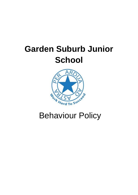# **Garden Suburb Junior School**



## Behaviour Policy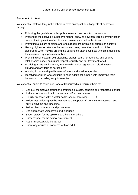#### **Statement of intent**

We expect all staff working in the school to have an impact on all aspects of behaviour through:

- Following the guidelines in this policy to reward and sanction behaviours
- Presenting themselves in a positive manner showing how non-verbal communication creates the impression of confidence, reassurance and enthusiasm
- Promoting a culture of praise and encouragement in which all pupils can achieve
- Having high expectations of behaviour and being proactive in and out of the classroom, when moving around the building eg after playtimes/lunchtime, going into the cloakroom, going to assemblies
- Promoting self-esteem, self-discipline, proper regard for authority, and positive relationships based on mutual respect, equality and fair treatment for all
- Providing a safe environment, free from disruption, aggression, discrimination, bullying and any form of harassment
- Working in partnership with parents/carers and outside agencies
- Identifying children who continue to need additional support with improving their behaviour to providing early intervention

We expect all pupils to follow our Code of Conduct which requires them to:

- Conduct themselves around the premises in a safe, sensible and respectful manner
- Arrive at school on time in the correct uniform with a coat
- Be fully prepared with: a water bottle, snack, homework, PE Kit
- Follow instructions given by teachers and support staff both in the classroom and during playtime and lunchtime
- Follow classroom rules and procedures
- Use appropriate voice levels and language
- Show respect for the opinions and beliefs of others
- Show respect for the school environment
- Report unacceptable behaviour
- Share any worries or concerns with an adult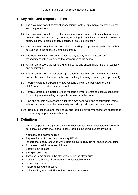## **1. Key roles and responsibilities**

- 1.1. The governing body has overall responsibility for the implementation of this policy and the procedures
- 1.2. The governing body has overall responsibility for ensuring that this policy, as written, does not discriminate on any grounds, including, but not limited to, ethnicity/national origin, culture, religion, gender, disability or sexual orientation
- 1.3. The governing body has responsibility for handling complaints regarding this policy, as outlined in the school's Complaints Policy
- 1.4. The Head Teacher is responsible for the day-to-day implementation and management of this policy and the procedures of the school
- 1.5. All staff are responsible for following the policy and ensuring it is implemented fairly and consistently
- 1.6. All staff are responsible for creating a supportive learning environment, promoting positive behaviour for learning through 'Building Learning Powers' (See appendix 1)
- 1.7. Parents/carers are expected to take responsibility for the behaviour of their child(ren) inside and outside of school
- 1.8. Parents/carers are expected to take responsibility for promoting positive behaviour for learning and modelling acceptable behaviour in the home
- 1.9. Staff and parents are responsible for their own behaviour and conduct both inside school and out in the wider community eg parking at drop off and pick up times
- 1.10.Pupils are responsible for their social and learning environment and are encouraged to report any inappropriate behaviour.

## **2. Definitions**

- 2.1. For the purpose of this policy, the school defines "low level unacceptable behaviour" as: behaviour which may disrupt pupils' learning including, but not limited to:
- Not following classroom rules
- Repeated lack of correct equipment eg PE Kit
- Inappropriate body language with others eg eye rolling, tutting, shoulder shrugging
- Rudeness to adults or other children
- Shouting out in class
- Swinging on chairs
- Throwing items either in the classroom or on the playground
- Refusal to complete given tasks for no acceptable reason
- Distracting others
- Failure to follow instructions
- Not accepting responsibility for inappropriate behaviour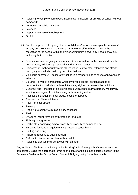- Refusing to complete homework, incomplete homework, or arriving at school without homework
- Disruption on public transport
- Lateness
- Inappropriate use of mobile phones
- Graffiti
- 2.2. For the purpose of this policy, the school defines "serious unacceptable behaviour" as: any behaviour which may cause harm to oneself or others, damage the reputation of the school within the wider community, and/or any illegal behaviour, including, but not limited to:
- $\bullet$  Discrimination not giving equal respect to an individual on the basis of disability, gender, race, religion, age, sexuality and/or marital status
- Harassment behaviour towards others which is unwanted, offensive and affects the dignity of the individual or group of individuals
- Vexatious behaviour deliberately acting in a manner so as to cause annoyance or irritation
- Bullying a type of harassment which involves criticism, personal abuse or persistent actions which humiliate, intimidate, frighten or demean the individual
- Cyberbullying the use of electronic communication to bully a person, typically by sending messages of an intimidating or threatening nature
- Possession of legal or illegal drugs, alcohol or tobacco
- Possession of banned items
- Peer on peer abuse
- **Truancy**
- Refusing to comply with disciplinary sanctions
- Theft
- Swearing, racist remarks or threatening language
- Fighting or aggression
- Deliberately damaging school property or property of someone else
- Throwing furniture or equipment with intent to cause harm
- Spitting and biting
- Failure to respond to adult direction
- Refusal to discuss an incident with an adult
- Refusal to discuss their behaviour with an adult

Any incidents of bullying – including online bullying/racism/homophobia/ must be recorded immediately using the appropriate forms on the server and filed in the correct section in the Behaviour Folder in the Group Room. See Anti Bullying policy for further details.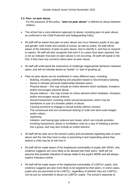#### **2.3. Peer- on peer abuse.**

For the purposes of this policy, **"peer-on-peer abuse"** is defined as abuse between children.

- The school has a zero-tolerance approach to abuse, including peer-on-peer abuse, as confirmed in the Child Protection and Safeguarding Policy
- All staff will be aware that peer-on-peer abuse can occur between pupils of any age and gender, both inside and outside of school, as well as online. All staff will be aware of the indicators of peer-on-peer abuse, how to identify it, and how to respond to reports. All staff will also recognise that even if no cases have been reported, this is not an indicator that peer-on-peer abuse is not occurring. All staff will speak to the DSL if they have any concerns about peer-on-peer abuse.
- All staff will understand the importance of challenge inappropriate behaviour between peers, and will not tolerate abuse as "banter" or "part of growing up".
- Peer-on-peer abuse can be manifested in many different ways, including:
	- Bullying, including cyberbullying and prejudice-based or discriminatory bullying.
	- Abuse in intimate personal relationships between peers.
	- Physical abuse this may include an online element which facilitates, threatens and/or encourages physical abuse.
	- Sexual violence this may include an online element which facilitates, threatens and/or encourages sexual violence.
	- Sexual harassment, including online sexual harassment, which may be standalone or part of a broader pattern of abuse.
	- Causing someone to engage in sexual activity without consent.
	- The consensual and non-consensual sharing of nude and semi-nude images and/or videos.
	- Upskirting.
	- Initiation- and hazing-type violence and rituals, which can include activities involving harassment, abuse or humiliation used as a way of initiating a person into a group, and may also include an online element.
- All staff will be clear as to the school's policy and procedures regarding peer-on-peer abuse and the role they have to play in preventing it and responding where they believe a child may be at risk from it.
- All staff will be made aware of the heightened vulnerability of pupils with SEND, who evidence suggests are more likely to be abused than their peers. Staff will not assume that possible indicators of abuse relate to the pupil's SEND and will always explore indicators further.
- All staff will be made aware of the heightened vulnerability of LGBTQ+ pupils, who evidence suggests are also more likely to be targeted by their peers. In some cases, pupils who are perceived to be LGBTQ+, regardless of whether they are LGBTQ+, can be just as vulnerable to abuse as LGBTQ+ pupils. The school's response to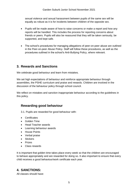sexual violence and sexual harassment between pupils of the same sex will be equally as robust as it is for incidents between children of the opposite sex.

- Pupils will be made aware of how to raise concerns or make a report and how any reports will be handled. This includes the process for reporting concerns about friends or peers. Pupils will also be reassured that they will be taken seriously, be supported, and kept safe.
- The school's procedures for managing allegations of peer-on-peer abuse are outlined in the Peer-on-peer Abuse Policy. Staff will follow these procedures, as well as the procedures outlined in the school's Anti-Bullying Policy, where relevant.

## **3. Rewards and Sanctions**

We celebrate good behaviour and learn from mistakes.

We set high expectations of behaviour and reinforce appropriate behaviour through assemblies, the PSHE curriculum and praise and rewards. Children are involved in the discussion of the behaviour policy through school council.

We reflect on mistakes and sanction inappropriate behaviour according to the guidelines in this policy.

## **Rewarding good behaviour**

3.1. Pupils are rewarded for good behaviour with:

- Certificates
- **Golden Time**
- Head Teacher awards
- Learning behaviour awards
- House Points
- Verbal praise
- Stickers
- Prizes
- Class rewards

It is important that golden time takes place every week so that the children are encouraged to behave appropriately and are rewarded for doing so. It also important to ensure that every child receives a good behaviour/work certificate each year.

## **4. SANCTIONS:**

All classes should have: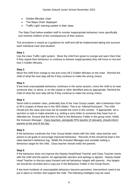- 'Golden Minutes' chart
- 'The Steps Chart' displayed
- 'Traffic Light' warning system in their class.

The Step Chart below enables staff to monitor inappropriate behaviour more specifically and reminds children of the consequences of their actions.

This procedure is meant as a guidance for staff and will be implemented taking into account each individual case and situation.

#### **Step 1**

Use the class Traffic Light system. Move the child from green to orange and warn them that if they repeat their behaviour or continue to behave inappropriately they will move to red and lose 2 Golden Minutes.

#### **Step 2**

Move the child from orange to red and cross off 2 Golden Minutes on the chart. Remind the child of what the next step will be if they continue to make the wrong choice.

#### **Step 3**

If low level unacceptable behaviour continues in the same session, move the child to sit near someone else, or alone, or on the carpet or other identified area as appropriate. Remind the child of what the next step will be if they continue to make the wrong choice.

#### **Step 4**

Send child to another class, preferably that of the Year Group Leader, with a behaviour form to fill in (copies of these are in the SEN folder). This is an 'Internal Exclusion'. The child should join the class and must not sit outside the room in the corridor. If appropriate, set a sanction or task to make amends e.g. writing a sorry letter to someone they have hurt or offended etc. Ensure that the form is filed in the Behaviour Folder in the group room. Notify the Inclusion Manager. Class teachers, alongside PPA teacher (if relevant), should inform parents at the end of the day.

#### **Step 5**

If the behaviour continues the Year Group leader meets with the child, class teacher and parent to set goals to encourage improved behaviour. Records of this should be kept in the class teacher's behaviour log. Notify the Inclusion Manager and consider setting a behaviour target for the child. Class teacher should notify the parents.

#### **Step 6**

If the behaviour does not improve the Deputy Head/Head Teacher and Class Teacher meets with the child and the parent. An appropriate sanction and apology is agreed. Deputy Head/ Head Teacher to discuss ways forward and set behaviour targets with parents. Any targets set should be recorded and a copy put in the Behaviour Folder in the Group Room.

If low level incidents of unacceptable behaviour become persistent, interventions need to be put in place to monitor and support the child. The following strategies may be used: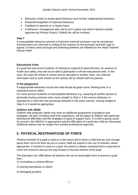- Behaviour charts to praise good behaviour and monitor inappropriate behaviour
- Rewards/recognition of improved behaviour
- Feedback to parents on a regular basis
- A behaviour management plan will be put in place and where relevant outside agencies eg Primary Project, CAMHS etc will be involved

#### **Step 7**

If unacceptable behaviour persists a fixed term external exclusion may be sanctioned. Parents/carers are informed in writing of the reasons for the exclusion and their right to appeal. In these cases borough and national guidelines are followed by the Head Teacher/ Deputy Head.

#### **Educational Visits**

If a pupil has had recent incidents of refusing to respond to adult direction, for reasons of health and safety, they will not be able to participate in off-site educational visits. In this case, the pupil will remain in school and be educated in another class. Any relevant information and or work sheets on the activity will be shared with the parents.

#### **In the playground**

If inappropriate behaviour occurs the child should be given some 'thinking time' in a dedicated area to reflect.

For more serious incidents of unacceptable behaviour e.g. swearing at another person or physically hurting someone else, move straight to Step 4. If the serious behaviour is repeated by a child who has previously behaved in the same manner, moving straight to Step 5 or 6 would be appropriate.

#### **Children with SEND**

Children with particular needs may have an additional programme of guidance and strategies. All staff, including meal time supervisors, will be aware of children with particular behavioural difficulties and the strategies in place to support them. If a child is giving cause for concern, the SENCO is approached and the difficulties of a particular child are discussed. Additional advice may be sought from outside professional agencies.

## **5. PHYSICAL RESTRAINT/USE OF FORCE**

Physical restraint of a pupil is used as a last resort and to show a child that we care enough about them not to let them be out of control. Staff are trained in the use of restraint, where appropriate. If restraint is used on a pupil, the parent is always contacted and is expected to come into school to discuss the way forward in the best interest of the pupil.

The Education Act 1996 allows all teachers the use of reasonable force to prevent a pupil from

1) Committing a criminal offence

- 2) Injuring themselves or others
- 3) Damaging property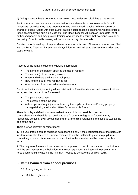4) Acting in a way that is counter to maintaining good order and discipline at the school.

Staff other than teachers and volunteer helpers are also able to use reasonable force if necessary, provided they have been authorised by the Head Teacher to have control or charge of pupils. Adults with such authorisation include teaching assistants, welfare officers, those accompanying pupils on visits etc. The Head Teacher will keep an up to date list of authorised people and may provide training or guidance to ensure that everyone is clear on the policy. Specific skills training will be provided at regular intervals.

Detailed records are kept of any incident/s where force is used. These are reported and filed with the Head Teacher. Parents are always informed and asked to discuss the incident and steps forward.

Records of incidents include the following information:

- The name of the person applying the use of restraint
- The name (s) of the pupil(s) involved
- When and where the incident took place
- How long the pupil was restrained for
- Why the use of force was deemed necessary

Details of the incident, including all steps taken to diffuse the situation and resolve it without force, and the nature of the force used

- The pupil's response
- The outcome of the incident
- A description of any injuries suffered by the pupils or others and/or any property damaged during the incident *What is reasonable force?*

There is no legal definition of reasonable force so it is not possible to set out comprehensively when it is reasonable to use force or the degree of force that may reasonably be used. It will always depend on all the circumstances of the case as well as the age of the pupil.

There are two relevant considerations:

1. The use of force can be regarded as reasonable only if the circumstances of the particular incident warrant it; therefore physical force could not be justified to prevent a pupil from committing a minor misdemeanour or in a situation that clearly could be resolved without force.

2. The degree of force employed must be in proportion to the circumstances of the incident and the seriousness of the behaviour or the consequences it is intended to prevent. Any force used should always be the minimum needed to achieve the desired result.

## **6. Items banned from school premises**

6.1. Fire lighting equipment:

• Matches, lighters, etc.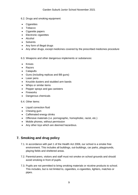- 6.2. Drugs and smoking equipment:
- Cigarettes
- Tobacco
- Cigarette papers
- Electronic cigarettes
- Alcohol
- Solvents
- Any form of illegal drugs
- Any other drugs, except medicines covered by the prescribed medicines procedure

6.3. Weapons and other dangerous implements or substances:

- Knives
- Razors
- Catapults
- Guns (including replicas and BB guns)
- Laser pens
- Knuckle dusters and studded arm bands
- Whips or similar items
- Pepper sprays and gas canisters
- Fireworks
- Dangerous chemicals

6.4. Other items:

- Liquid correction fluid
- Chewing gum
- Caffeinated energy drinks
- Offensive materials (i.e. pornographic, homophobic, racist, etc.)
- Mobile phones, without permission
- Any other toys which are deemed hazardous.

## **7. Smoking and drug policy**

- 7.1. In accordance with part 1 of the Health Act 2006, our school is a smoke free environment. This includes all buildings, out-buildings, car parks, playgrounds, playing fields and sheltered areas.
- 7.2. Parents/carers, visitors and staff must not smoke on school grounds and should avoid smoking in front of pupils.
- 7.3. Pupils are not permitted to bring smoking materials or nicotine products to school. This includes, but is not limited to, cigarettes, e-cigarettes, lighters, matches or pipes.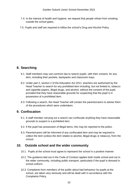- 7.4. In the interest of health and hygiene, we request that people refrain from smoking outside the school gates.
- 7.5. Pupils and staff are required to follow the school's Drug and Alcohol Policy.

## **8. Searching**

- 8.1. Staff members may use common law to search pupils, with their consent, for any item, including their pockets, backpacks and classroom trays.
- 8.2. Under [part 2, section 2 of the Education Act 2011,](http://www.legislation.gov.uk/ukpga/2011/21/section/2/enacted) teachers are authorised by the Head Teacher to search for any prohibited item including, but not limited to, tobacco and cigarette papers, illegal drugs, and alcohol, without the consent of the pupil, provided that they have reasonable grounds for suspecting that the pupil is in possession of a prohibited item.
- 8.3. Following a search, the Head Teacher will contact the parents/carers to advise them of the procedures which were undertaken.

## **9. Confiscation**

- 9.1. A staff member carrying out a search can confiscate anything they have reasonable grounds to suspect is a prohibited item.
- 9.2. If the pupil has possession of illegal items, this may be reported to the police.
- 9.3. Parents/carers will be informed of any confiscated item and may be required to collect the item (unless the item relates to alcohol, illegal drugs or tobacco), from the school.

### **10. Outside school and the wider community**

- 10.1. Pupils at the school must agree to represent the school in a positive manner.
- 10.2. The guidance laid out in the Code of Conduct applies both inside school and out in the wider community, including public transport, particularly if the pupil is dressed in school uniform.
- 10.3. Complaints from members of the public about bad behaviour by pupils at the school, are taken very seriously and will be dealt with in accordance with the Complaints Policy.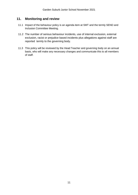## **11. Monitoring and review**

- 11.1 Impact of the behaviour policy is an agenda item at SMT and the termly SEND and Inclusion Committee Meeting.
- 11.2 The number of serious behaviour incidents, use of internal exclusion, external exclusion, racist or prejudice based incidents plus allegations against staff are reported termly to the governing body.
- 11.3 This policy will be reviewed by the Head Teacher and governing body on an annual basis, who will make any necessary changes and communicate this to all members of staff.